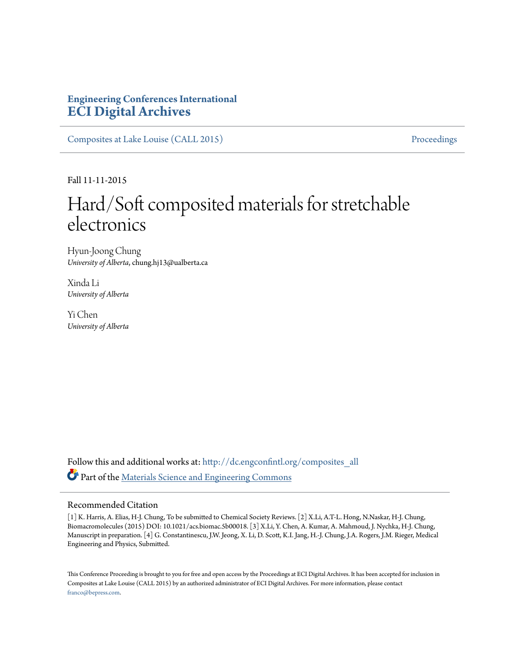## **Engineering Conferences International [ECI Digital Archives](http://dc.engconfintl.org?utm_source=dc.engconfintl.org%2Fcomposites_all%2F104&utm_medium=PDF&utm_campaign=PDFCoverPages)**

[Composites at Lake Louise \(CALL 2015\)](http://dc.engconfintl.org/composites_all?utm_source=dc.engconfintl.org%2Fcomposites_all%2F104&utm_medium=PDF&utm_campaign=PDFCoverPages) [Proceedings](http://dc.engconfintl.org/proceedings?utm_source=dc.engconfintl.org%2Fcomposites_all%2F104&utm_medium=PDF&utm_campaign=PDFCoverPages)

Fall 11-11-2015

# Hard/Soft composited materials for stretchable electronics

Hyun-Joong Chung *University of Alberta*, chung.hj13@ualberta.ca

Xinda Li *University of Alberta*

Yi Chen *University of Alberta*

Follow this and additional works at: [http://dc.engconfintl.org/composites\\_all](http://dc.engconfintl.org/composites_all?utm_source=dc.engconfintl.org%2Fcomposites_all%2F104&utm_medium=PDF&utm_campaign=PDFCoverPages) Part of the [Materials Science and Engineering Commons](http://network.bepress.com/hgg/discipline/285?utm_source=dc.engconfintl.org%2Fcomposites_all%2F104&utm_medium=PDF&utm_campaign=PDFCoverPages)

#### Recommended Citation

[1] K. Harris, A. Elias, H-J. Chung, To be submitted to Chemical Society Reviews. [2] X.Li, A.T-L. Hong, N.Naskar, H-J. Chung, Biomacromolecules (2015) DOI: 10.1021/acs.biomac.5b00018. [3] X.Li, Y. Chen, A. Kumar, A. Mahmoud, J. Nychka, H-J. Chung, Manuscript in preparation. [4] G. Constantinescu, J.W. Jeong, X. Li, D. Scott, K.I. Jang, H.-J. Chung, J.A. Rogers, J.M. Rieger, Medical Engineering and Physics, Submitted.

This Conference Proceeding is brought to you for free and open access by the Proceedings at ECI Digital Archives. It has been accepted for inclusion in Composites at Lake Louise (CALL 2015) by an authorized administrator of ECI Digital Archives. For more information, please contact [franco@bepress.com.](mailto:franco@bepress.com)